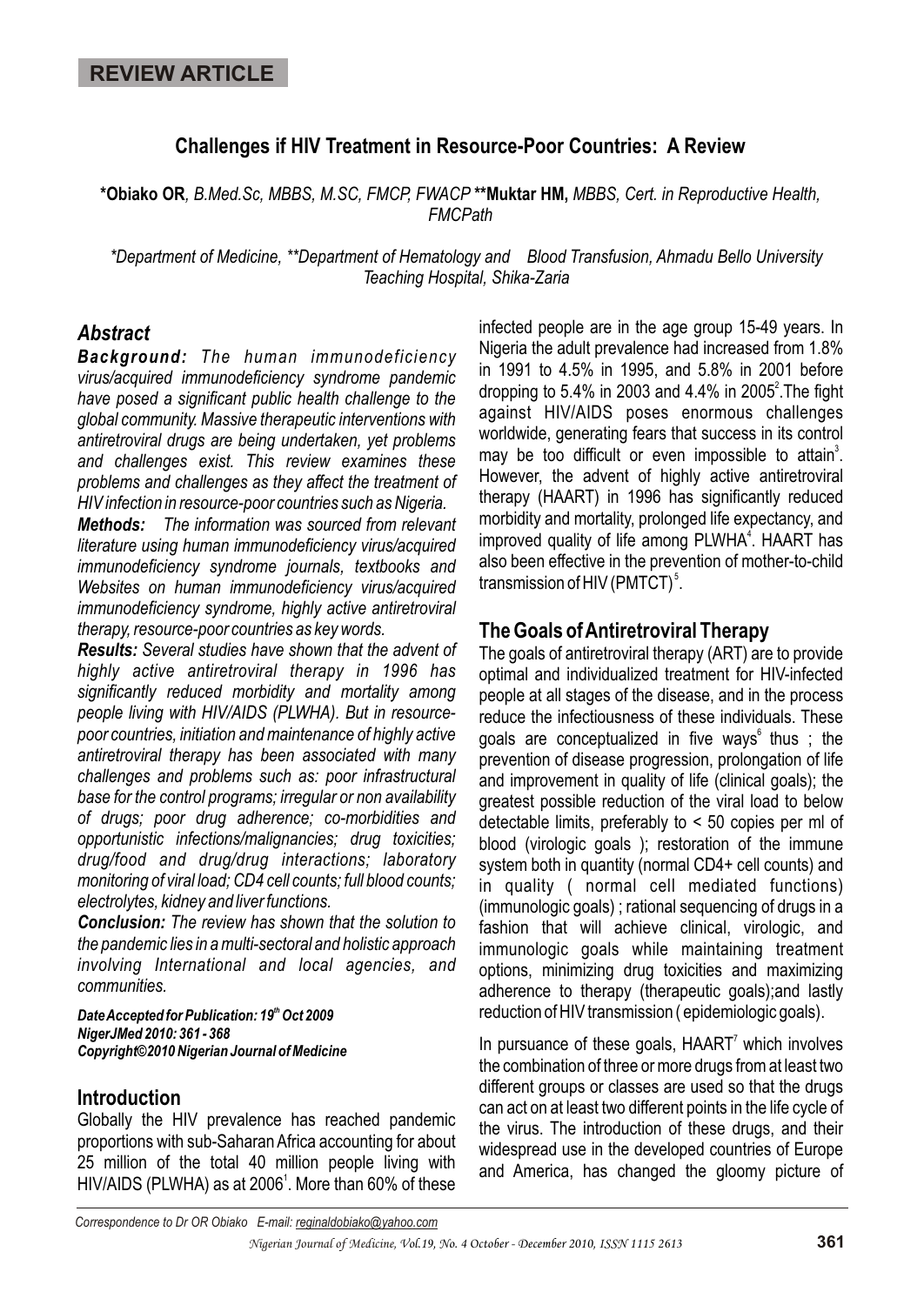### **Challenges if HIV Treatment in Resource-Poor Countries: A Review**

**\*Obiako OR***, B.Med.Sc, MBBS, M.SC, FMCP, FWACP* **\*\*Muktar HM,** *MBBS, Cert. in Reproductive Health, FMCPath*

*\*Department of Medicine, \*\*Department of Hematology and Blood Transfusion, Ahmadu Bello University Teaching Hospital, Shika-Zaria*

#### *Abstract*

*Background: The human immunodeficiency virus/acquired immunodeficiency syndrome pandemic have posed a significant public health challenge to the global community. Massive therapeutic interventions with antiretroviral drugs are being undertaken, yet problems and challenges exist. This review examines these problems and challenges as they affect the treatment of HIV infection in resource-poor countries such as Nigeria.*

*Methods: The information was sourced from relevant literature using human immunodeficiency virus/acquired immunodeficiency syndrome journals, textbooks and Websites on human immunodeficiency virus/acquired immunodeficiency syndrome, highly active antiretroviral therapy, resource-poor countries as key words.* 

*Results: Several studies have shown that the advent of highly active antiretroviral therapy in 1996 has significantly reduced morbidity and mortality among people living with HIV/AIDS (PLWHA). But in resourcepoor countries, initiation and maintenance of highly active antiretroviral therapy has been associated with many challenges and problems such as: poor infrastructural base for the control programs; irregular or non availability of drugs; poor drug adherence; co-morbidities and opportunistic infections/malignancies; drug toxicities; drug/food and drug/drug interactions; laboratory monitoring of viral load; CD4 cell counts; full blood counts; electrolytes, kidney and liver functions.* 

*Conclusion: The review has shown that the solution to the pandemic lies in a multi-sectoral and holistic approach involving International and local agencies, and communities.*

**Date Accepted for Publication: 19<sup>th</sup> Oct 2009** *NigerJMed 2010: 361 - 368 Copyright©2010 Nigerian Journal of Medicine*

### **Introduction**

Globally the HIV prevalence has reached pandemic proportions with sub-Saharan Africa accounting for about 25 million of the total 40 million people living with HIV/AIDS (PLWHA) as at 2006<sup>1</sup>. More than 60% of these infected people are in the age group 15-49 years. In Nigeria the adult prevalence had increased from 1.8% in 1991 to 4.5% in 1995, and 5.8% in 2001 before dropping to 5.4% in 2003 and 4.4% in 2005<sup>2</sup>. The fight against HIV/AIDS poses enormous challenges worldwide, generating fears that success in its control may be too difficult or even impossible to attain<sup>3</sup>. However, the advent of highly active antiretroviral therapy (HAART) in 1996 has significantly reduced morbidity and mortality, prolonged life expectancy, and improved quality of life among PLWHA<sup>4</sup>. HAART has also been effective in the prevention of mother-to-child transmission of HIV (PMTCT) $5$ .

### **The Goals of Antiretroviral Therapy**

The goals of antiretroviral therapy (ART) are to provide optimal and individualized treatment for HIV-infected people at all stages of the disease, and in the process reduce the infectiousness of these individuals. These goals are conceptualized in five ways thus ; the prevention of disease progression, prolongation of life and improvement in quality of life (clinical goals); the greatest possible reduction of the viral load to below detectable limits, preferably to < 50 copies per ml of blood (virologic goals ); restoration of the immune system both in quantity (normal CD4+ cell counts) and in quality ( normal cell mediated functions) (immunologic goals) ; rational sequencing of drugs in a fashion that will achieve clinical, virologic, and immunologic goals while maintaining treatment options, minimizing drug toxicities and maximizing adherence to therapy (therapeutic goals);and lastly reduction of HIV transmission ( epidemiologic goals).

In pursuance of these goals,  $HAART<sup>7</sup>$  which involves the combination of three or more drugs from at least two different groups or classes are used so that the drugs can act on at least two different points in the life cycle of the virus. The introduction of these drugs, and their widespread use in the developed countries of Europe and America, has changed the gloomy picture of

*Correspondence to Dr OR Obiako E-mail: reginaldobiako@yahoo.com*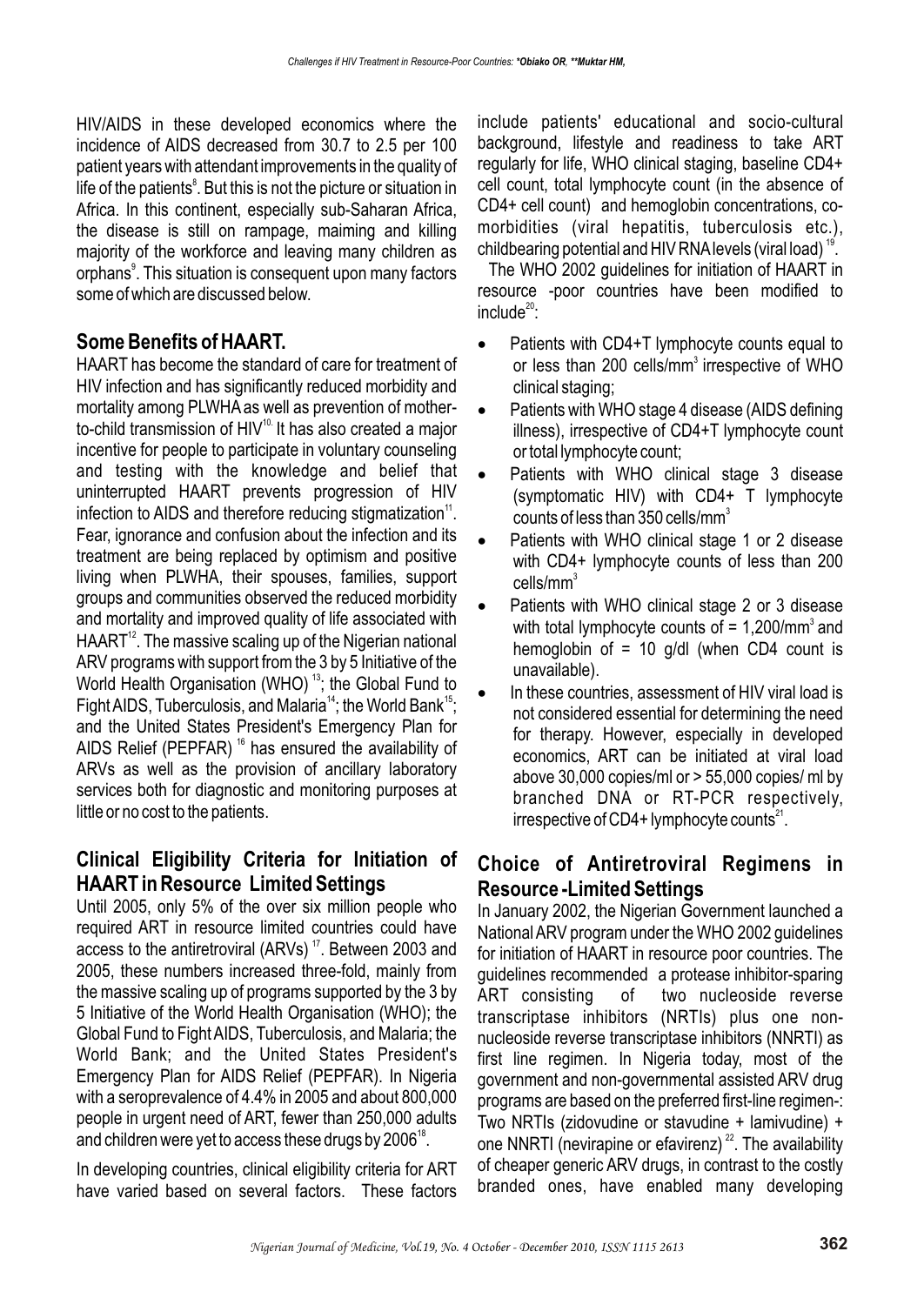HIV/AIDS in these developed economics where the incidence of AIDS decreased from 30.7 to 2.5 per 100 patient years with attendant improvements in the quality of life of the patients<sup>8</sup>. But this is not the picture or situation in Africa. In this continent, especially sub-Saharan Africa, the disease is still on rampage, maiming and killing majority of the workforce and leaving many children as orphans<sup>9</sup>. This situation is consequent upon many factors some of which are discussed below.

## **Some Benefits of HAART.**

HAART has become the standard of care for treatment of HIV infection and has significantly reduced morbidity and mortality among PLWHAas well as prevention of motherto-child transmission of  $HIV^{10}$ . It has also created a major incentive for people to participate in voluntary counseling and testing with the knowledge and belief that uninterrupted HAART prevents progression of HIV infection to AIDS and therefore reducing stigmatization<sup> $\text{1}$ </sup>. Fear, ignorance and confusion about the infection and its treatment are being replaced by optimism and positive living when PLWHA, their spouses, families, support groups and communities observed the reduced morbidity and mortality and improved quality of life associated with  $HAART^{12}$ . The massive scaling up of the Nigerian national ARV programs with support from the 3 by 5 Initiative of the World Health Organisation (WHO)<sup>13</sup>; the Global Fund to Fight AIDS, Tuberculosis, and Malaria<sup>14</sup>; the World Bank<sup>15</sup>; and the United States President's Emergency Plan for AIDS Relief (PEPFAR)<sup>16</sup> has ensured the availability of ARVs as well as the provision of ancillary laboratory services both for diagnostic and monitoring purposes at little or no cost to the patients.

# **Clinical Eligibility Criteria for Initiation of HAART in Resource Limited Settings**

Until 2005, only 5% of the over six million people who required ART in resource limited countries could have access to the antiretroviral (ARVs)<sup> $17$ </sup>. Between 2003 and 2005, these numbers increased three-fold, mainly from the massive scaling up of programs supported by the 3 by 5 Initiative of the World Health Organisation (WHO); the Global Fund to Fight AIDS, Tuberculosis, and Malaria; the World Bank; and the United States President's Emergency Plan for AIDS Relief (PEPFAR). In Nigeria with a seroprevalence of 4.4% in 2005 and about 800,000 people in urgent need of ART, fewer than 250,000 adults and children were yet to access these drugs by 2006<sup>18</sup>.

In developing countries, clinical eligibility criteria for ART have varied based on several factors. These factors include patients' educational and socio-cultural background, lifestyle and readiness to take ART regularly for life, WHO clinical staging, baseline CD4+ cell count, total lymphocyte count (in the absence of CD4+ cell count) and hemoglobin concentrations, comorbidities (viral hepatitis, tuberculosis etc.), childbearing potential and HIV RNA levels (viral load)  $19$ .

The WHO 2002 guidelines for initiation of HAART in resource -poor countries have been modified to  $include^{\text{20}}$ :

Patients with CD4+T lymphocyte counts equal to or less than 200 cells/mm<sup>3</sup> irrespective of WHO clinical staging;

Patients with WHO stage 4 disease (AIDS defining illness), irrespective of CD4+T lymphocyte count or total lymphocyte count;

Patients with WHO clinical stage 3 disease (symptomatic HIV) with CD4+ T lymphocyte counts of less than 350 cells/mm<sup>3</sup>

Patients with WHO clinical stage 1 or 2 disease with CD4+ lymphocyte counts of less than 200 cells/mm $^{\rm 3}$ 

Patients with WHO clinical stage 2 or 3 disease with total lymphocyte counts of  $= 1,200/\text{mm}^3$  and hemoglobin of  $= 10$  g/dl (when CD4 count is unavailable).

In these countries, assessment of HIV viral load is not considered essential for determining the need for therapy. However, especially in developed economics, ART can be initiated at viral load above 30,000 copies/ml or > 55,000 copies/ ml by branched DNA or RT-PCR respectively, irrespective of CD4+ lymphocyte counts $^{21}$ .

### **Choice of Antiretroviral Regimens in Resource -Limited Settings**

In January 2002, the Nigerian Government launched a National ARV program under the WHO 2002 guidelines for initiation of HAART in resource poor countries. The guidelines recommended a protease inhibitor-sparing ART consisting of two nucleoside reverse transcriptase inhibitors (NRTIs) plus one nonnucleoside reverse transcriptase inhibitors (NNRTI) as first line regimen. In Nigeria today, most of the government and non-governmental assisted ARV drug programs are based on the preferred first-line regimen-: Two NRTIs (zidovudine or stavudine + lamivudine) + one NNRTI (nevirapine or efavirenz)<sup>22</sup>. The availability of cheaper generic ARV drugs, in contrast to the costly branded ones, have enabled many developing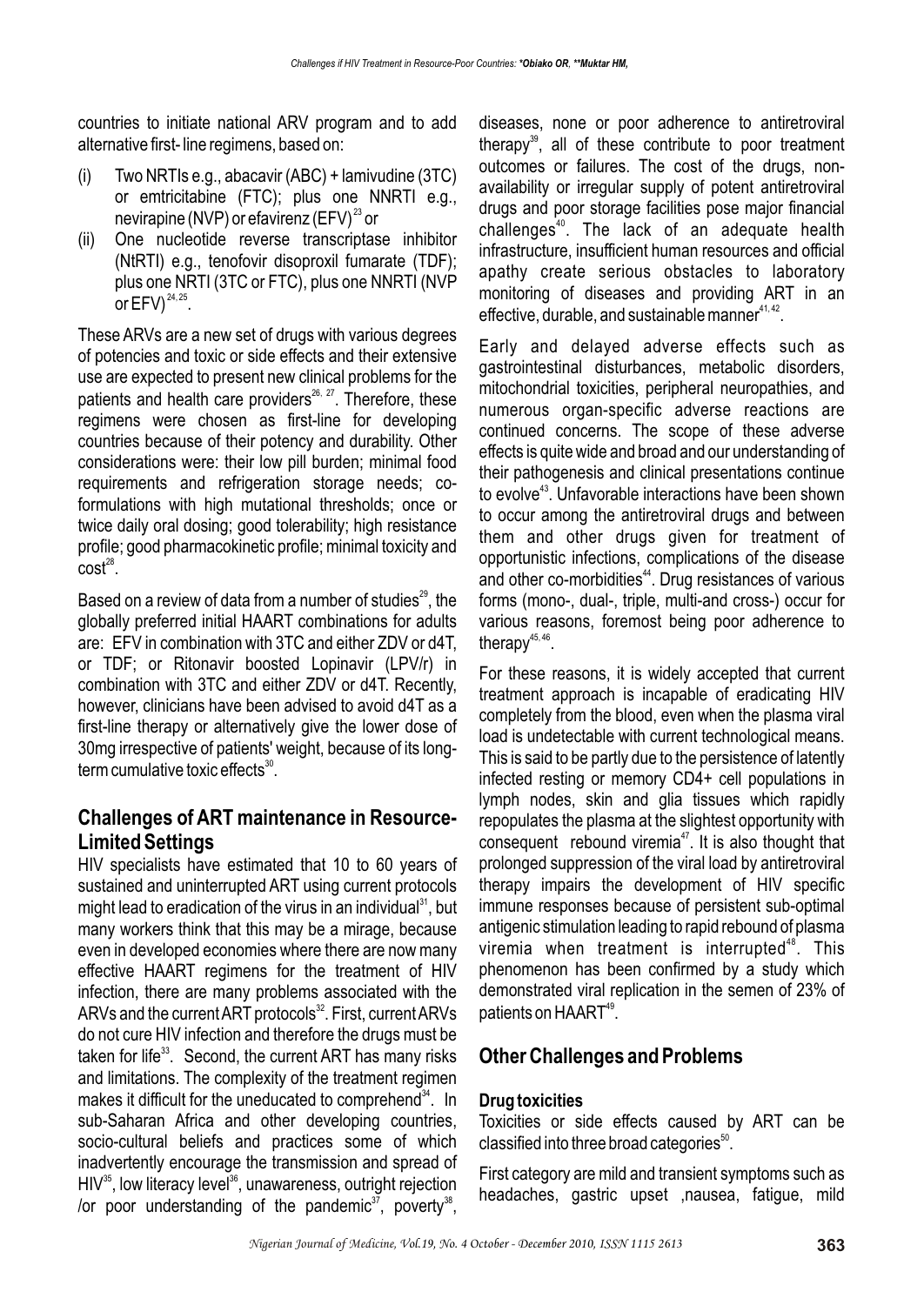countries to initiate national ARV program and to add alternative first- line regimens, based on:

- (i) Two NRTIs e.g., abacavir (ABC) + lamivudine (3TC) or emtricitabine (FTC); plus one NNRTI e.g., nevirapine (NVP) or efavirenz (EFV) $^{23}$  or
- (ii) One nucleotide reverse transcriptase inhibitor (NtRTI) e.g., tenofovir disoproxil fumarate (TDF); plus one NRTI (3TC or FTC), plus one NNRTI (NVP or  $EFV$ )<sup>24, 25</sup>.

These ARVs are a new set of drugs with various degrees of potencies and toxic or side effects and their extensive use are expected to present new clinical problems for the patients and health care providers $^{26, 27}$ . Therefore, these regimens were chosen as first-line for developing countries because of their potency and durability. Other considerations were: their low pill burden; minimal food requirements and refrigeration storage needs; coformulations with high mutational thresholds; once or twice daily oral dosing; good tolerability; high resistance profile; good pharmacokinetic profile; minimal toxicity and  $cost^{28}$ .

Based on a review of data from a number of studies<sup>29</sup>, the globally preferred initial HAART combinations for adults are: EFV in combination with 3TC and either ZDV or d4T, or TDF; or Ritonavir boosted Lopinavir (LPV/r) in combination with 3TC and either ZDV or d4T. Recently, however, clinicians have been advised to avoid d4T as a first-line therapy or alternatively give the lower dose of 30mg irrespective of patients' weight, because of its long $term$  cumulative toxic effects $^{30}$ .

### **Challenges of ART maintenance in Resource-Limited Settings**

HIV specialists have estimated that 10 to 60 years of sustained and uninterrupted ART using current protocols might lead to eradication of the virus in an individual  $31$ , but many workers think that this may be a mirage, because even in developed economies where there are now many effective HAART regimens for the treatment of HIV infection, there are many problems associated with the ARVs and the current ART protocols<sup>32</sup>. First, current ARVs do not cure HIV infection and therefore the drugs must be taken for life $33$ . Second, the current ART has many risks and limitations. The complexity of the treatment regimen makes it difficult for the uneducated to comprehend  $34$ . In sub-Saharan Africa and other developing countries, socio-cultural beliefs and practices some of which inadvertently encourage the transmission and spread of  $HIV<sup>35</sup>$ , low literacy level<sup>36</sup>, unawareness, outright rejection /or poor understanding of the pandemic<sup>37</sup>, poverty<sup>38</sup>,

diseases, none or poor adherence to antiretroviral therapy<sup>39</sup>, all of these contribute to poor treatment outcomes or failures. The cost of the drugs, nonavailability or irregular supply of potent antiretroviral drugs and poor storage facilities pose major financial challenges<sup>40</sup>. The lack of an adequate health infrastructure, insufficient human resources and official apathy create serious obstacles to laboratory monitoring of diseases and providing ART in an effective, durable, and sustainable manner $41, 42$ .

Early and delayed adverse effects such as gastrointestinal disturbances, metabolic disorders, mitochondrial toxicities, peripheral neuropathies, and numerous organ-specific adverse reactions are continued concerns. The scope of these adverse effects is quite wide and broad and our understanding of their pathogenesis and clinical presentations continue to evolve<sup>43</sup>. Unfavorable interactions have been shown to occur among the antiretroviral drugs and between them and other drugs given for treatment of opportunistic infections, complications of the disease and other co-morbidities<sup>44</sup>. Drug resistances of various forms (mono-, dual-, triple, multi-and cross-) occur for various reasons, foremost being poor adherence to therapy $45, 46$ .

For these reasons, it is widely accepted that current treatment approach is incapable of eradicating HIV completely from the blood, even when the plasma viral load is undetectable with current technological means. This is said to be partly due to the persistence of latently infected resting or memory CD4+ cell populations in lymph nodes, skin and glia tissues which rapidly repopulates the plasma at the slightest opportunity with consequent rebound viremia<sup>47</sup>. It is also thought that prolonged suppression of the viral load by antiretroviral therapy impairs the development of HIV specific immune responses because of persistent sub-optimal antigenic stimulation leading to rapid rebound of plasma viremia when treatment is interrupted $48$ . This phenomenon has been confirmed by a study which demonstrated viral replication in the semen of 23% of patients on  $HAART^{49}$ .

## **Other Challenges and Problems**

### **Drug toxicities**

Toxicities or side effects caused by ART can be classified into three broad categories $<sup>50</sup>$ .</sup>

First category are mild and transient symptoms such as headaches, gastric upset ,nausea, fatigue, mild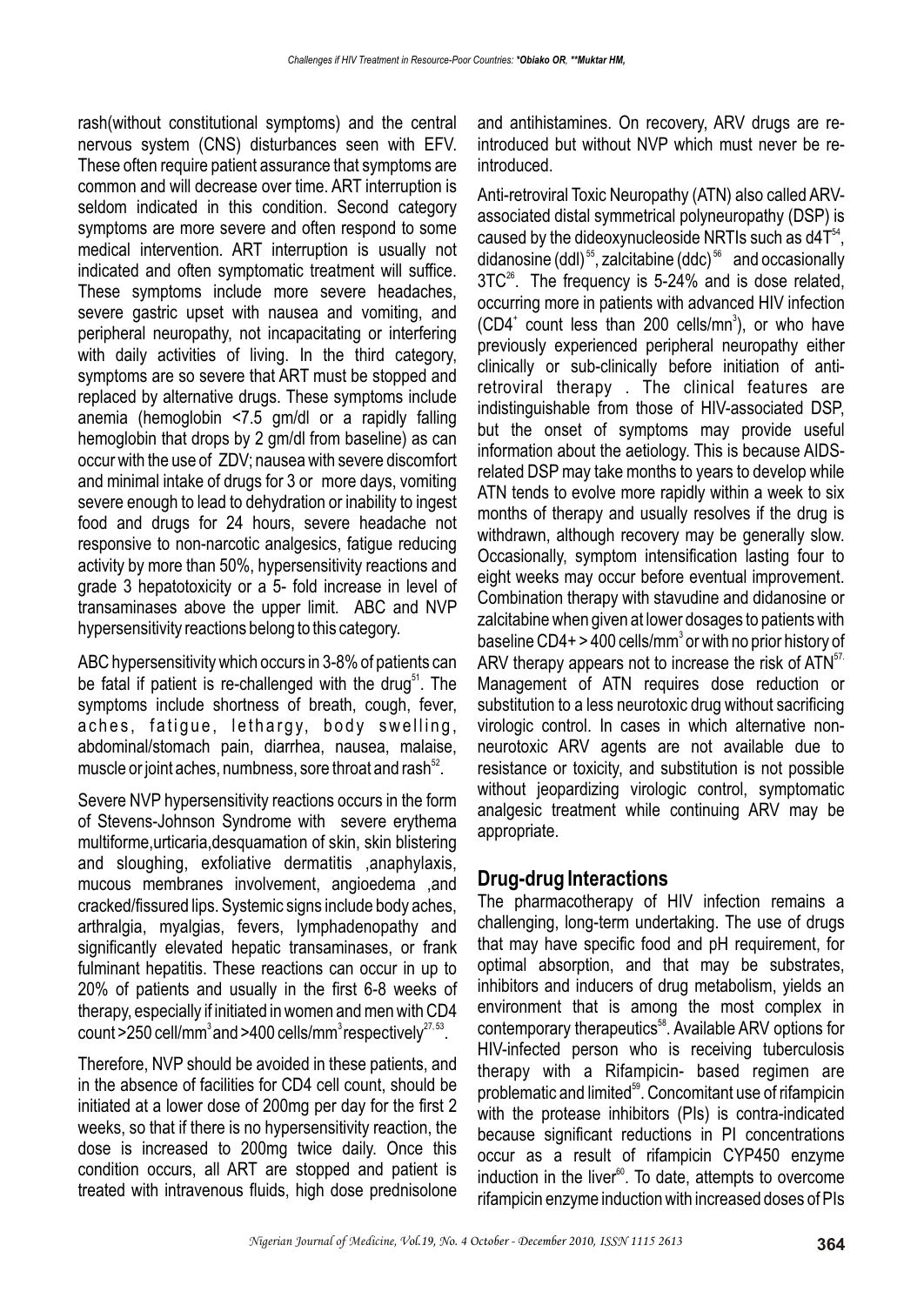rash(without constitutional symptoms) and the central nervous system (CNS) disturbances seen with EFV. These often require patient assurance that symptoms are common and will decrease over time. ART interruption is seldom indicated in this condition. Second category symptoms are more severe and often respond to some medical intervention. ART interruption is usually not indicated and often symptomatic treatment will suffice. These symptoms include more severe headaches, severe gastric upset with nausea and vomiting, and peripheral neuropathy, not incapacitating or interfering with daily activities of living. In the third category, symptoms are so severe that ART must be stopped and replaced by alternative drugs. These symptoms include anemia (hemoglobin <7.5 gm/dl or a rapidly falling hemoglobin that drops by 2 gm/dl from baseline) as can occur with the use of ZDV; nausea with severe discomfort and minimal intake of drugs for 3 or more days, vomiting severe enough to lead to dehydration or inability to ingest food and drugs for 24 hours, severe headache not responsive to non-narcotic analgesics, fatigue reducing activity by more than 50%, hypersensitivity reactions and grade 3 hepatotoxicity or a 5- fold increase in level of transaminases above the upper limit. ABC and NVP hypersensitivity reactions belong to this category.

ABC hypersensitivity which occurs in 3-8% of patients can be fatal if patient is re-challenged with the drug<sup>51</sup>. The symptoms include shortness of breath, cough, fever, aches, fatigue, lethargy, body swelling, abdominal/stomach pain, diarrhea, nausea, malaise, muscle or joint aches, numbness, sore throat and rash  $52$ .

Severe NVP hypersensitivity reactions occurs in the form of Stevens-Johnson Syndrome with severe erythema multiforme,urticaria,desquamation of skin, skin blistering and sloughing, exfoliative dermatitis ,anaphylaxis, mucous membranes involvement, angioedema ,and cracked/fissured lips. Systemic signs include body aches, arthralgia, myalgias, fevers, lymphadenopathy and significantly elevated hepatic transaminases, or frank fulminant hepatitis. These reactions can occur in up to 20% of patients and usually in the first 6-8 weeks of therapy, especially if initiated in women and men with CD4 count >250 cell/mm<sup>3</sup> and >400 cells/mm<sup>3</sup> respectively $27.53$ .

Therefore, NVP should be avoided in these patients, and in the absence of facilities for CD4 cell count, should be initiated at a lower dose of 200mg per day for the first 2 weeks, so that if there is no hypersensitivity reaction, the dose is increased to 200mg twice daily. Once this condition occurs, all ART are stopped and patient is treated with intravenous fluids, high dose prednisolone and antihistamines. On recovery, ARV drugs are reintroduced but without NVP which must never be reintroduced.

Anti-retroviral Toxic Neuropathy (ATN) also called ARVassociated distal symmetrical polyneuropathy (DSP) is caused by the dideoxynucleoside NRTIs such as  $d4T<sup>54</sup>$ , didanosine (ddl)<sup>55</sup>, zalcitabine (ddc)<sup>56</sup> and occasionally  $3TC^{26}$ . The frequency is 5-24% and is dose related. occurring more in patients with advanced HIV infection  $(CD4<sup>+</sup>$  count less than 200 cells/mn<sup>3</sup>), or who have previously experienced peripheral neuropathy either clinically or sub-clinically before initiation of antiretroviral therapy . The clinical features are indistinguishable from those of HIV-associated DSP, but the onset of symptoms may provide useful information about the aetiology. This is because AIDSrelated DSP may take months to years to develop while ATN tends to evolve more rapidly within a week to six months of therapy and usually resolves if the drug is withdrawn, although recovery may be generally slow. Occasionally, symptom intensification lasting four to eight weeks may occur before eventual improvement. Combination therapy with stavudine and didanosine or zalcitabine when given at lower dosages to patients with baseline CD4+ > 400 cells/mm $^3$  or with no prior history of ARV therapy appears not to increase the risk of  $ATN<sup>57</sup>$ Management of ATN requires dose reduction or substitution to a less neurotoxic drug without sacrificing virologic control. In cases in which alternative nonneurotoxic ARV agents are not available due to resistance or toxicity, and substitution is not possible without jeopardizing virologic control, symptomatic analgesic treatment while continuing ARV may be appropriate.

### **Drug-drug Interactions**

The pharmacotherapy of HIV infection remains a challenging, long-term undertaking. The use of drugs that may have specific food and pH requirement, for optimal absorption, and that may be substrates, inhibitors and inducers of drug metabolism, yields an environment that is among the most complex in contemporary therapeutics<sup>58</sup>. Available ARV options for HIV-infected person who is receiving tuberculosis therapy with a Rifampicin- based regimen are problematic and limited<sup>59</sup>. Concomitant use of rifampicin with the protease inhibitors (PIs) is contra-indicated because significant reductions in PI concentrations occur as a result of rifampicin CYP450 enzyme induction in the liver $<sup>60</sup>$ . To date, attempts to overcome</sup> rifampicin enzyme induction with increased doses of PIs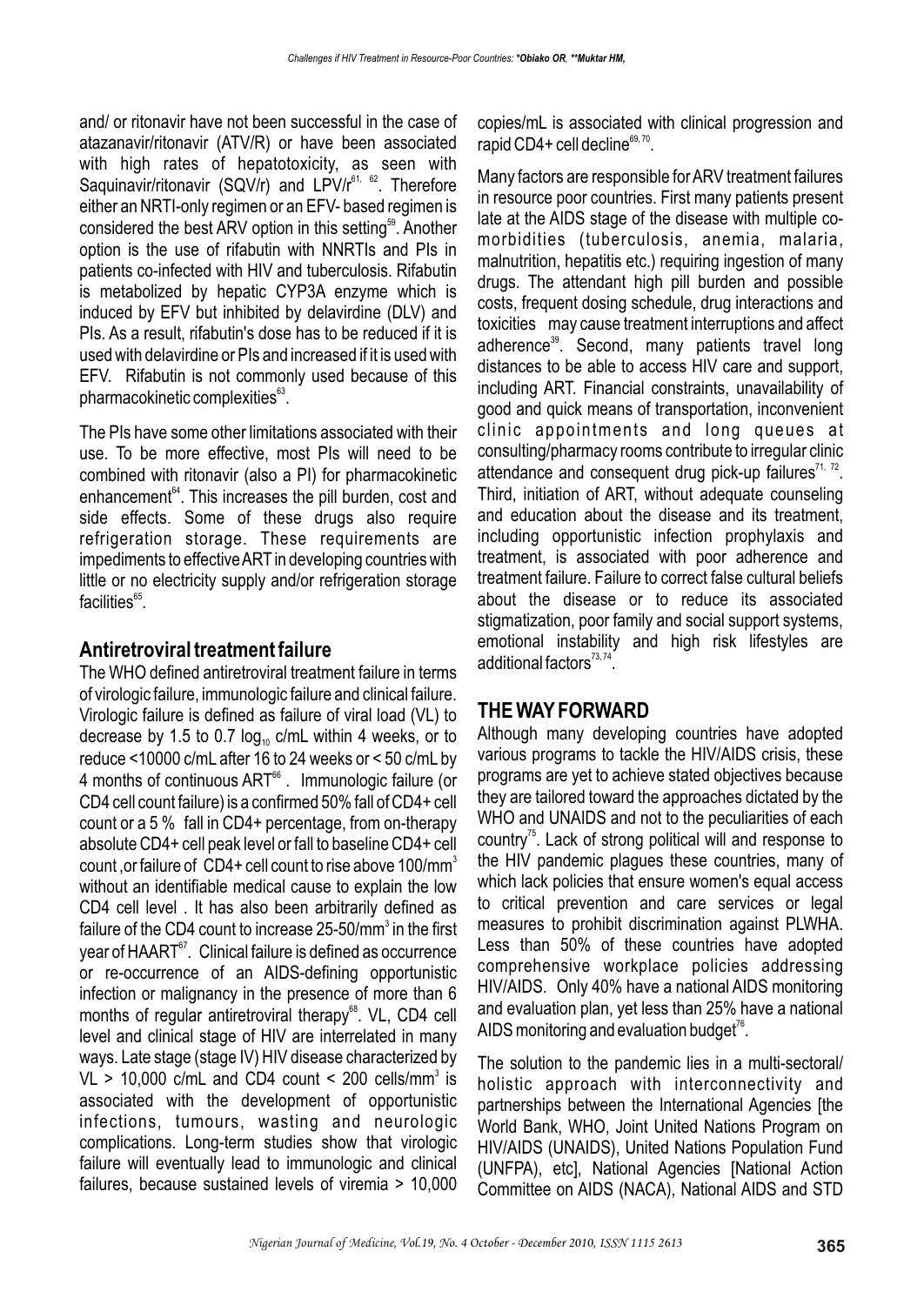and/ or ritonavir have not been successful in the case of atazanavir/ritonavir (ATV/R) or have been associated with high rates of hepatotoxicity, as seen with Saquinavir/ritonavir (SQV/r) and  $LPV/r^{61.62}$ . Therefore either an NRTI-only regimen or an EFV- based regimen is considered the best ARV option in this setting<sup>59</sup>. Another option is the use of rifabutin with NNRTIs and PIs in patients co-infected with HIV and tuberculosis. Rifabutin is metabolized by hepatic CYP3A enzyme which is induced by EFV but inhibited by delavirdine (DLV) and PIs. As a result, rifabutin's dose has to be reduced if it is used with delavirdine or PIs and increased if it is used with EFV. Rifabutin is not commonly used because of this  $pharmacokinetic complexities<sup>63</sup>.$ 

The PIs have some other limitations associated with their use. To be more effective, most PIs will need to be combined with ritonavir (also a PI) for pharmacokinetic enhancement<sup> $64$ </sup>. This increases the pill burden, cost and side effects. Some of these drugs also require refrigeration storage. These requirements are impediments to effective ART in developing countries with little or no electricity supply and/or refrigeration storage  $facilities<sup>65</sup>$ .

#### **Antiretroviral treatment failure**

The WHO defined antiretroviral treatment failure in terms of virologic failure, immunologic failure and clinical failure. Virologic failure is defined as failure of viral load (VL) to decrease by 1.5 to 0.7  $log_{10}$  c/mL within 4 weeks, or to reduce <10000 c/mL after 16 to 24 weeks or < 50 c/mL by 4 months of continuous ART<sup>66</sup>. Immunologic failure (or CD4 cell count failure) is a confirmed 50% fall of CD4+ cell count or a 5 % fall in CD4+ percentage, from on-therapy absolute CD4+ cell peak level or fall to baseline CD4+ cell count ,or failure of CD4+ cell count to rise above 100/mm<sup>3</sup> without an identifiable medical cause to explain the low CD4 cell level . It has also been arbitrarily defined as failure of the CD4 count to increase 25-50/mm<sup>3</sup> in the first year of HAART<sup>67</sup>. Clinical failure is defined as occurrence or re-occurrence of an AIDS-defining opportunistic infection or malignancy in the presence of more than 6 months of regular antiretroviral therapy<sup>68</sup>. VL, CD4 cell level and clinical stage of HIV are interrelated in many ways. Late stage (stage IV) HIV disease characterized by VL > 10,000 c/mL and CD4 count < 200 cells/mm<sup>3</sup> is associated with the development of opportunistic infections, tumours, wasting and neurologic complications. Long-term studies show that virologic failure will eventually lead to immunologic and clinical failures, because sustained levels of viremia > 10,000

copies/mL is associated with clinical progression and rapid CD4+ cell decline $^{69, 70}$ .

Many factors are responsible for ARV treatment failures in resource poor countries. First many patients present late at the AIDS stage of the disease with multiple comorbidities (tuberculosis, anemia, malaria, malnutrition, hepatitis etc.) requiring ingestion of many drugs. The attendant high pill burden and possible costs, frequent dosing schedule, drug interactions and toxicities may cause treatment interruptions and affect adherence<sup>39</sup>. Second, many patients travel long distances to be able to access HIV care and support, including ART. Financial constraints, unavailability of good and quick means of transportation, inconvenient clinic appointments and long queues at consulting/pharmacy rooms contribute to irregular clinic attendance and consequent drug pick-up failures $71, 72$ . Third, initiation of ART, without adequate counseling and education about the disease and its treatment, including opportunistic infection prophylaxis and treatment, is associated with poor adherence and treatment failure. Failure to correct false cultural beliefs about the disease or to reduce its associated stigmatization, poor family and social support systems, emotional instability and high risk lifestyles are additional factors $73, 74$ .

### **THE WAY FORWARD**

Although many developing countries have adopted various programs to tackle the HIV/AIDS crisis, these programs are yet to achieve stated objectives because they are tailored toward the approaches dictated by the WHO and UNAIDS and not to the peculiarities of each country<sup> $75$ </sup>. Lack of strong political will and response to the HIV pandemic plagues these countries, many of which lack policies that ensure women's equal access to critical prevention and care services or legal measures to prohibit discrimination against PLWHA. Less than 50% of these countries have adopted comprehensive workplace policies addressing HIV/AIDS. Only 40% have a national AIDS monitoring and evaluation plan, yet less than 25% have a national AIDS monitoring and evaluation budget<sup>76</sup>.

The solution to the pandemic lies in a multi-sectoral/ holistic approach with interconnectivity and partnerships between the International Agencies [the World Bank, WHO, Joint United Nations Program on HIV/AIDS (UNAIDS), United Nations Population Fund (UNFPA), etc], National Agencies [National Action Committee on AIDS (NACA), National AIDS and STD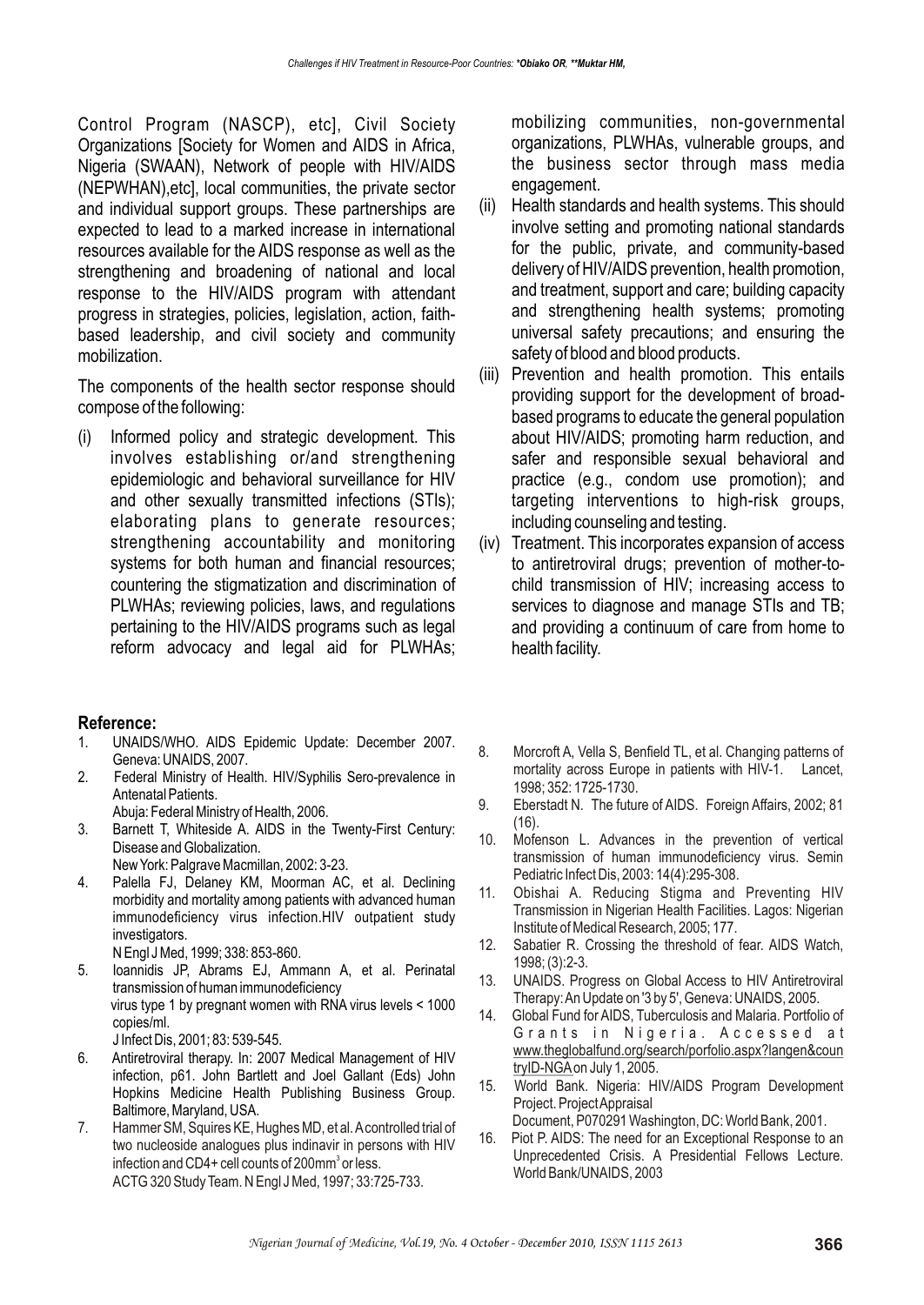Control Program (NASCP), etc], Civil Society Organizations [Society for Women and AIDS in Africa, Nigeria (SWAAN), Network of people with HIV/AIDS (NEPWHAN),etc], local communities, the private sector and individual support groups. These partnerships are expected to lead to a marked increase in international resources available for the AIDS response as well as the strengthening and broadening of national and local response to the HIV/AIDS program with attendant progress in strategies, policies, legislation, action, faithbased leadership, and civil society and community mobilization.

The components of the health sector response should compose of the following:

(i) Informed policy and strategic development. This involves establishing or/and strengthening epidemiologic and behavioral surveillance for HIV and other sexually transmitted infections (STIs); elaborating plans to generate resources; strengthening accountability and monitoring systems for both human and financial resources; countering the stigmatization and discrimination of PLWHAs; reviewing policies, laws, and regulations pertaining to the HIV/AIDS programs such as legal reform advocacy and legal aid for PLWHAs;

#### **Reference:**

- 1. UNAIDS/WHO. AIDS Epidemic Update: December 2007. Geneva: UNAIDS, 2007.
- 2. Federal Ministry of Health. HIV/Syphilis Sero-prevalence in Antenatal Patients.

Abuja: Federal Ministry of Health, 2006.

3. Barnett T, Whiteside A. AIDS in the Twenty-First Century: Disease and Globalization.

New York: Palgrave Macmillan, 2002: 3-23.

- 4. Palella FJ, Delaney KM, Moorman AC, et al. Declining morbidity and mortality among patients with advanced human immunodeficiency virus infection.HIV outpatient study investigators.
	- N Engl J Med, 1999; 338: 853-860.
- 5. Ioannidis JP, Abrams EJ, Ammann A, et al. Perinatal transmission of human immunodeficiency virus type 1 by pregnant women with RNA virus levels < 1000 copies/ml. J Infect Dis, 2001; 83: 539-545.
- 6. Antiretroviral therapy. In: 2007 Medical Management of HIV infection, p61. John Bartlett and Joel Gallant (Eds) John Hopkins Medicine Health Publishing Business Group. Baltimore, Maryland, USA.
- 7. Hammer SM, Squires KE, Hughes MD, et al. A controlled trial of two nucleoside analogues plus indinavir in persons with HIV infection and CD4+ cell counts of 200mm<sup>3</sup> or less. ACTG 320 Study Team. N Engl J Med, 1997; 33:725-733.

mobilizing communities, non-governmental organizations, PLWHAs, vulnerable groups, and the business sector through mass media engagement.

- (ii) Health standards and health systems. This should involve setting and promoting national standards for the public, private, and community-based delivery of HIV/AIDS prevention, health promotion, and treatment, support and care; building capacity and strengthening health systems; promoting universal safety precautions; and ensuring the safety of blood and blood products.
- (iii) Prevention and health promotion. This entails providing support for the development of broadbased programs to educate the general population about HIV/AIDS; promoting harm reduction, and safer and responsible sexual behavioral and practice (e.g., condom use promotion); and targeting interventions to high-risk groups, including counseling and testing.
- (iv) Treatment. This incorporates expansion of access to antiretroviral drugs; prevention of mother-tochild transmission of HIV; increasing access to services to diagnose and manage STIs and TB; and providing a continuum of care from home to health facility.
- 8. Morcroft A, Vella S, Benfield TL, et al. Changing patterns of mortality across Europe in patients with HIV-1. Lancet, 1998; 352: 1725-1730.
- 9. Eberstadt N. The future of AIDS. Foreign Affairs, 2002; 81 (16).
- 10. Mofenson L. Advances in the prevention of vertical transmission of human immunodeficiency virus. Semin Pediatric Infect Dis, 2003: 14(4):295-308.
- 11. Obishai A. Reducing Stigma and Preventing HIV Transmission in Nigerian Health Facilities. Lagos: Nigerian Institute of Medical Research, 2005; 177.
- 12. Sabatier R. Crossing the threshold of fear. AIDS Watch, 1998; (3):2-3.
- 13. UNAIDS. Progress on Global Access to HIV Antiretroviral Therapy: An Update on '3 by 5', Geneva: UNAIDS, 2005.
- 14. Global Fund for AIDS, Tuberculosis and Malaria. Portfolio of Grants in Nigeria. Accessed at www.theglobalfund.org/search/porfolio.aspx?langen&coun tryID-NGA on July 1, 2005.
- 15. World Bank. Nigeria: HIV/AIDS Program Development Project. Project Appraisal

Document, P070291 Washington, DC: World Bank, 2001.

16. Piot P. AIDS: The need for an Exceptional Response to an Unprecedented Crisis. A Presidential Fellows Lecture. World Bank/UNAIDS, 2003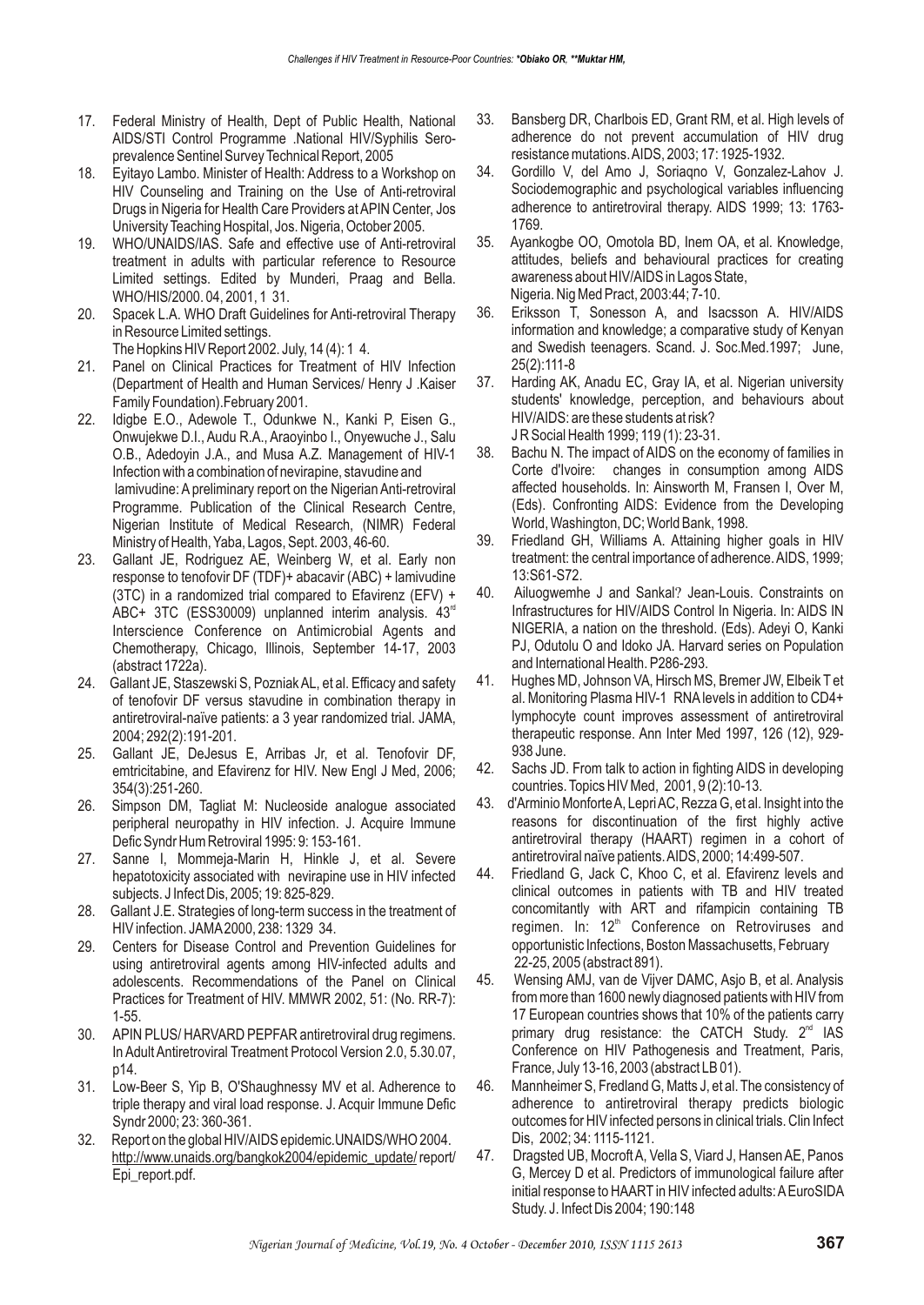- 17. Federal Ministry of Health, Dept of Public Health, National AIDS/STI Control Programme .National HIV/Syphilis Seroprevalence Sentinel Survey Technical Report, 2005
- 18. Eyitayo Lambo. Minister of Health: Address to a Workshop on HIV Counseling and Training on the Use of Anti-retroviral Drugs in Nigeria for Health Care Providers at APIN Center, Jos University Teaching Hospital, Jos. Nigeria, October 2005.
- 19. WHO/UNAIDS/IAS. Safe and effective use of Anti-retroviral treatment in adults with particular reference to Resource Limited settings. Edited by Munderi, Praag and Bella. WHO/HIS/2000. 04, 2001, 1 31.
- 20. Spacek L.A. WHO Draft Guidelines for Anti-retroviral Therapy in Resource Limited settings.

The Hopkins HIV Report 2002. July, 14 (4): 1 4.

- 21. Panel on Clinical Practices for Treatment of HIV Infection (Department of Health and Human Services/ Henry J .Kaiser Family Foundation).February 2001.
- 22. Idigbe E.O., Adewole T., Odunkwe N., Kanki P, Eisen G., Onwujekwe D.I., Audu R.A., Araoyinbo I., Onyewuche J., Salu O.B., Adedoyin J.A., and Musa A.Z. Management of HIV-1 Infection with a combination of nevirapine, stavudine and lamivudine: A preliminary report on the Nigerian Anti-retroviral Programme. Publication of the Clinical Research Centre, Nigerian Institute of Medical Research, (NIMR) Federal Ministry of Health, Yaba, Lagos, Sept. 2003, 46-60.
- 23. Gallant JE, Rodriguez AE, Weinberg W, et al. Early non response to tenofovir DF (TDF)+ abacavir (ABC) + lamivudine (3TC) in a randomized trial compared to Efavirenz (EFV) + ABC+ 3TC (ESS30009) unplanned interim analysis.  $43<sup>rd</sup>$ Interscience Conference on Antimicrobial Agents and Chemotherapy, Chicago, Illinois, September 14-17, 2003 (abstract 1722a).
- 24. Gallant JE, Staszewski S, Pozniak AL, et al. Efficacy and safety of tenofovir DF versus stavudine in combination therapy in antiretroviral-naïve patients: a 3 year randomized trial. JAMA, 2004; 292(2):191-201.
- 25. Gallant JE, DeJesus E, Arribas Jr, et al. Tenofovir DF, emtricitabine, and Efavirenz for HIV. New Engl J Med, 2006; 354(3):251-260.
- 26. Simpson DM, Tagliat M: Nucleoside analogue associated peripheral neuropathy in HIV infection. J. Acquire Immune Defic Syndr Hum Retroviral 1995: 9: 153-161.
- 27. Sanne I, Mommeja-Marin H, Hinkle J, et al. Severe hepatotoxicity associated with nevirapine use in HIV infected subjects. J Infect Dis, 2005; 19: 825-829.
- 28. Gallant J.E. Strategies of long-term success in the treatment of HIV infection. JAMA 2000, 238: 1329 34.
- 29. Centers for Disease Control and Prevention Guidelines for using antiretroviral agents among HIV-infected adults and adolescents. Recommendations of the Panel on Clinical Practices for Treatment of HIV. MMWR 2002, 51: (No. RR-7): 1-55.
- 30. APIN PLUS/ HARVARD PEPFAR antiretroviral drug regimens. In Adult Antiretroviral Treatment Protocol Version 2.0, 5.30.07, p14.
- 31. Low-Beer S, Yip B, O'Shaughnessy MV et al. Adherence to triple therapy and viral load response. J. Acquir Immune Defic Syndr 2000; 23: 360-361.
- 32. Report on the global HIV/AIDS epidemic.UNAIDS/WHO 2004. http://www.unaids.org/bangkok2004/epidemic\_update/ report/ Epi\_report.pdf.
- 33. Bansberg DR, Charlbois ED, Grant RM, et al. High levels of adherence do not prevent accumulation of HIV drug resistance mutations. AIDS, 2003; 17: 1925-1932.
- 34. Gordillo V, del Amo J, Soriaqno V, Gonzalez-Lahov J. Sociodemographic and psychological variables influencing adherence to antiretroviral therapy. AIDS 1999; 13: 1763- 1769.
- 35. Ayankogbe OO, Omotola BD, Inem OA, et al. Knowledge, attitudes, beliefs and behavioural practices for creating awareness about HIV/AIDS in Lagos State, Nigeria. Nig Med Pract, 2003:44; 7-10.
- 36. Eriksson T, Sonesson A, and Isacsson A. HIV/AIDS information and knowledge; a comparative study of Kenyan and Swedish teenagers. Scand. J. Soc.Med.1997; June, 25(2):111-8
- 37. Harding AK, Anadu EC, Gray IA, et al. Nigerian university students' knowledge, perception, and behaviours about HIV/AIDS: are these students at risk? J R Social Health 1999; 119 (1): 23-31.
- 38. Bachu N. The impact of AIDS on the economy of families in Corte d'Ivoire: changes in consumption among AIDS affected households. In: Ainsworth M, Fransen I, Over M, (Eds). Confronting AIDS: Evidence from the Developing World, Washington, DC; World Bank, 1998.
- 39. Friedland GH, Williams A. Attaining higher goals in HIV treatment: the central importance of adherence. AIDS, 1999; 13:S61-S72.
- 40. Ailuogwemhe J and Sankal? Jean-Louis. Constraints on Infrastructures for HIV/AIDS Control In Nigeria. In: AIDS IN NIGERIA, a nation on the threshold. (Eds). Adeyi O, Kanki PJ, Odutolu O and Idoko JA. Harvard series on Population and International Health. P286-293.
- 41. Hughes MD, Johnson VA, Hirsch MS, Bremer JW, Elbeik T et al. Monitoring Plasma HIV-1 RNA levels in addition to CD4+ lymphocyte count improves assessment of antiretroviral therapeutic response. Ann Inter Med 1997, 126 (12), 929- 938 June.
- 42. Sachs JD. From talk to action in fighting AIDS in developing countries. Topics HIV Med, 2001, 9 (2):10-13.
- 43. d'Arminio Monforte A, Lepri AC, Rezza G, et al. Insight into the reasons for discontinuation of the first highly active antiretroviral therapy (HAART) regimen in a cohort of antiretroviral naïve patients. AIDS, 2000; 14:499-507.
- 44. Friedland G, Jack C, Khoo C, et al. Efavirenz levels and clinical outcomes in patients with TB and HIV treated concomitantly with ART and rifampicin containing TB regimen. In: 12<sup>th</sup> Conference on Retroviruses and opportunistic Infections, Boston Massachusetts, February 22-25, 2005 (abstract 891).
- 45. Wensing AMJ, van de Vijver DAMC, Asjo B, et al. Analysis from more than 1600 newly diagnosed patients with HIV from 17 European countries shows that 10% of the patients carry primary drug resistance: the CATCH Study.  $2<sup>nd</sup>$  IAS Conference on HIV Pathogenesis and Treatment, Paris, France, July 13-16, 2003 (abstract LB 01).
- 46. Mannheimer S, Fredland G, Matts J, et al. The consistency of adherence to antiretroviral therapy predicts biologic outcomes for HIV infected persons in clinical trials. Clin Infect Dis, 2002; 34: 1115-1121.
- 47. Dragsted UB, Mocroft A, Vella S, Viard J, Hansen AE, Panos G, Mercey D et al. Predictors of immunological failure after initial response to HAART in HIV infected adults: A EuroSIDA Study. J. Infect Dis 2004; 190:148